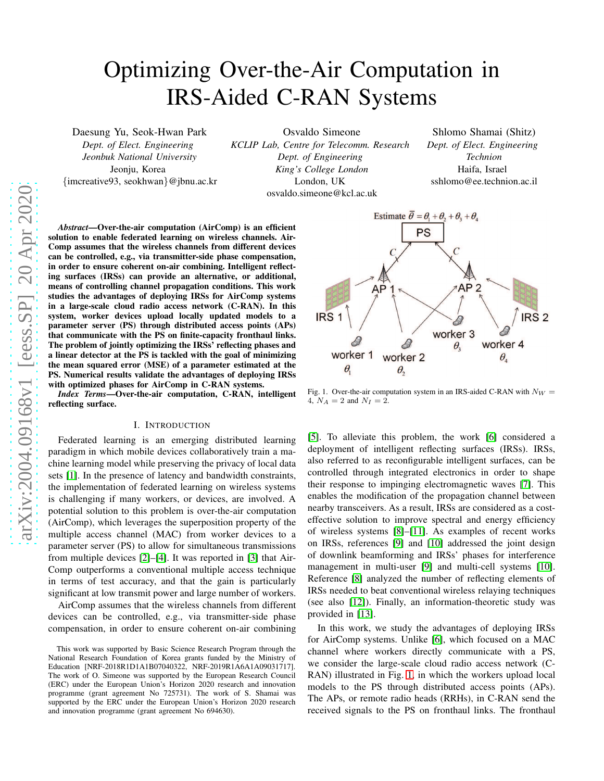# Optimizing Over-the-Air Computation in IRS-Aided C-RAN Systems

Daesung Yu, Seok-Hwan Park

*Dept. of Elect. Engineering Jeonbuk National University* Jeonju, Korea

{imcreative93, seokhwan}@jbnu.ac.kr

Osvaldo Simeone *KCLIP Lab, Centre for Telecomm. Research Dept. of Engineering King's College London* London, UK osvaldo.simeone@kcl.ac.uk

Shlomo Shamai (Shitz) *Dept. of Elect. Engineering Technion* Haifa, Israel sshlomo@ee.technion.ac.il

*Abstract*—Over-the-air computation (AirComp) is an efficient solution to enable federated learning on wireless channels. Air-Comp assumes that the wireless channels from different devices can be controlled, e.g., via transmitter-side phase compensation, in order to ensure coherent on-air combining. Intelligent reflecting surfaces (IRSs) can provide an alternative, or additional, means of controlling channel propagation conditions. This work studies the advantages of deploying IRSs for AirComp systems in a large-scale cloud radio access network (C-RAN). In this system, worker devices upload locally updated models to a parameter server (PS) through distributed access points (APs) that communicate with the PS on finite-capacity fronthaul links. The problem of jointly optimizing the IRSs' reflecting phases and a linear detector at the PS is tackled with the goal of minimizing the mean squared error (MSE) of a parameter estimated at the PS. Numerical results validate the advantages of deploying IRSs with optimized phases for AirComp in C-RAN systems.

*Index Terms*—Over-the-air computation, C-RAN, intelligent reflecting surface.

## I. INTRODUCTION

Federated learning is an emerging distributed learning paradigm in which mobile devices collaboratively train a machine learning model while preserving the privacy of local data sets [\[1\]](#page-4-0). In the presence of latency and bandwidth constraints, the implementation of federated learning on wireless systems is challenging if many workers, or devices, are involved. A potential solution to this problem is over-the-air computation (AirComp), which leverages the superposition property of the multiple access channel (MAC) from worker devices to a parameter server (PS) to allow for simultaneous transmissions from multiple devices [\[2\]](#page-4-1)–[\[4\]](#page-4-2). It was reported in [\[3\]](#page-4-3) that Air-Comp outperforms a conventional multiple access technique in terms of test accuracy, and that the gain is particularly significant at low transmit power and large number of workers.

AirComp assumes that the wireless channels from different devices can be controlled, e.g., via transmitter-side phase compensation, in order to ensure coherent on-air combining



<span id="page-0-0"></span>Fig. 1. Over-the-air computation system in an IRS-aided C-RAN with  $N_W =$ 4,  $N_A = 2$  and  $N_I = 2$ .

[\[5\]](#page-4-4). To alleviate this problem, the work [\[6\]](#page-4-5) considered a deployment of intelligent reflecting surfaces (IRSs). IRSs, also referred to as reconfigurable intelligent surfaces, can be controlled through integrated electronics in order to shape their response to impinging electromagnetic waves [\[7\]](#page-4-6). This enables the modification of the propagation channel between nearby transceivers. As a result, IRSs are considered as a costeffective solution to improve spectral and energy efficiency of wireless systems [\[8\]](#page-4-7)–[\[11\]](#page-4-8). As examples of recent works on IRSs, references [\[9\]](#page-4-9) and [\[10\]](#page-4-10) addressed the joint design of downlink beamforming and IRSs' phases for interference management in multi-user [\[9\]](#page-4-9) and multi-cell systems [\[10\]](#page-4-10). Reference [\[8\]](#page-4-7) analyzed the number of reflecting elements of IRSs needed to beat conventional wireless relaying techniques (see also [\[12\]](#page-4-11)). Finally, an information-theoretic study was provided in [\[13\]](#page-4-12).

In this work, we study the advantages of deploying IRSs for AirComp systems. Unlike [\[6\]](#page-4-5), which focused on a MAC channel where workers directly communicate with a PS, we consider the large-scale cloud radio access network (C-RAN) illustrated in Fig. [1,](#page-0-0) in which the workers upload local models to the PS through distributed access points (APs). The APs, or remote radio heads (RRHs), in C-RAN send the received signals to the PS on fronthaul links. The fronthaul

This work was supported by Basic Science Research Program through the National Research Foundation of Korea grants funded by the Ministry of Education [NRF-2018R1D1A1B07040322, NRF-2019R1A6A1A09031717]. The work of O. Simeone was supported by the European Research Council (ERC) under the European Union's Horizon 2020 research and innovation programme (grant agreement No 725731). The work of S. Shamai was supported by the ERC under the European Union's Horizon 2020 research and innovation programme (grant agreement No 694630).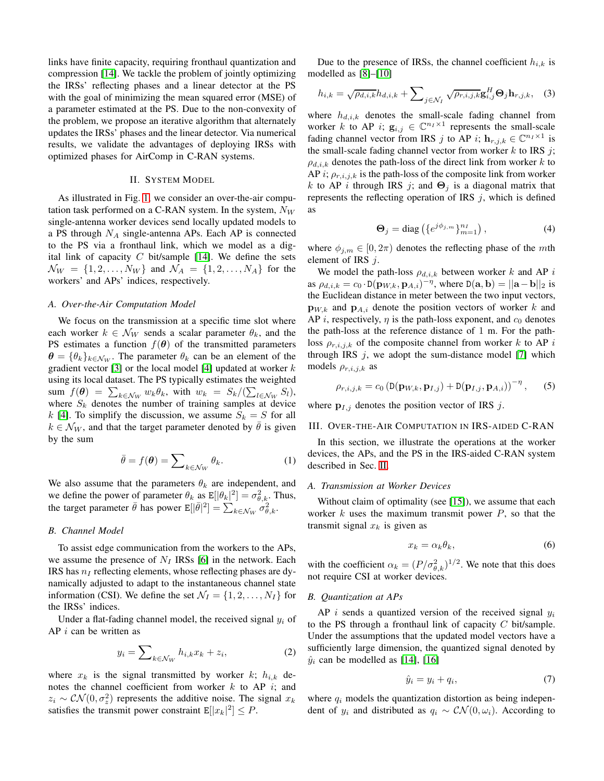links have finite capacity, requiring fronthaul quantization and compression [\[14\]](#page-4-13). We tackle the problem of jointly optimizing the IRSs' reflecting phases and a linear detector at the PS with the goal of minimizing the mean squared error (MSE) of a parameter estimated at the PS. Due to the non-convexity of the problem, we propose an iterative algorithm that alternately updates the IRSs' phases and the linear detector. Via numerical results, we validate the advantages of deploying IRSs with optimized phases for AirComp in C-RAN systems.

## II. SYSTEM MODEL

<span id="page-1-0"></span>As illustrated in Fig. [1,](#page-0-0) we consider an over-the-air computation task performed on a C-RAN system. In the system,  $N_W$ single-antenna worker devices send locally updated models to a PS through  $N_A$  single-antenna APs. Each AP is connected to the PS via a fronthaul link, which we model as a dig-ital link of capacity C bit/sample [\[14\]](#page-4-13). We define the sets  $\mathcal{N}_W = \{1, 2, ..., N_W\}$  and  $\mathcal{N}_A = \{1, 2, ..., N_A\}$  for the workers' and APs' indices, respectively.

### *A. Over-the-Air Computation Model*

We focus on the transmission at a specific time slot where each worker  $k \in \mathcal{N}_W$  sends a scalar parameter  $\theta_k$ , and the PS estimates a function  $f(\theta)$  of the transmitted parameters  $\boldsymbol{\theta} = {\theta_k}_{k \in \mathcal{N}_W}$ . The parameter  $\theta_k$  can be an element of the gradient vector [\[3\]](#page-4-3) or the local model [\[4\]](#page-4-2) updated at worker  $k$ using its local dataset. The PS typically estimates the weighted sum  $f(\boldsymbol{\theta}) = \sum_{k \in \mathcal{N}_W} w_k \theta_k$ , with  $w_k = S_k / (\sum_{l \in \mathcal{N}_W} S_l)$ , where  $S_k$  denotes the number of training samples at device k [\[4\]](#page-4-2). To simplify the discussion, we assume  $S_k = S$  for all  $k \in \mathcal{N}_W$ , and that the target parameter denoted by  $\bar{\theta}$  is given by the sum

$$
\bar{\theta} = f(\boldsymbol{\theta}) = \sum_{k \in \mathcal{N}_W} \theta_k.
$$
 (1)

We also assume that the parameters  $\theta_k$  are independent, and we define the power of parameter  $\theta_k$  as  $\mathbb{E}[|\theta_k|^2] = \sigma_{\theta,k}^2$ . Thus, the target parameter  $\bar{\theta}$  has power  $\mathbb{E}[\|\bar{\theta}\|^2] = \sum_{k \in \mathcal{N}_W} \sigma_{\theta,k}^2$ .

#### *B. Channel Model*

To assist edge communication from the workers to the APs, we assume the presence of  $N_I$  IRSs [\[6\]](#page-4-5) in the network. Each IRS has  $n_I$  reflecting elements, whose reflecting phases are dynamically adjusted to adapt to the instantaneous channel state information (CSI). We define the set  $\mathcal{N}_I = \{1, 2, \dots, N_I\}$  for the IRSs' indices.

Under a flat-fading channel model, the received signal  $y_i$  of  $AP$  *i* can be written as

$$
y_i = \sum\nolimits_{k \in \mathcal{N}_W} h_{i,k} x_k + z_i,\tag{2}
$$

where  $x_k$  is the signal transmitted by worker k;  $h_{i,k}$  denotes the channel coefficient from worker  $k$  to AP  $i$ ; and  $z_i \sim \mathcal{CN}(0, \sigma_z^2)$  represents the additive noise. The signal  $x_k$ satisfies the transmit power constraint  $E[|x_k|^2] \leq P$ .

Due to the presence of IRSs, the channel coefficient  $h_{i,k}$  is modelled as [\[8\]](#page-4-7)–[\[10\]](#page-4-10)

$$
h_{i,k} = \sqrt{\rho_{d,i,k}} h_{d,i,k} + \sum_{j \in \mathcal{N}_I} \sqrt{\rho_{r,i,j,k}} \mathbf{g}_{i,j}^H \mathbf{\Theta}_j \mathbf{h}_{r,j,k}, \quad (3)
$$

where  $h_{d,i,k}$  denotes the small-scale fading channel from worker k to AP i;  $\mathbf{g}_{i,j} \in \mathbb{C}^{n_I \times 1}$  represents the small-scale fading channel vector from IRS j to AP i;  $\mathbf{h}_{r,j,k} \in \mathbb{C}^{n_1 \times 1}$  is the small-scale fading channel vector from worker  $k$  to IRS  $j$ ;  $\rho_{d,i,k}$  denotes the path-loss of the direct link from worker k to AP i;  $\rho_{r,i,j,k}$  is the path-loss of the composite link from worker k to AP i through IRS j; and  $\Theta_i$  is a diagonal matrix that represents the reflecting operation of IRS  $j$ , which is defined as

<span id="page-1-1"></span>
$$
\Theta_j = \text{diag}\left(\{e^{j\phi_{j,m}}\}_{m=1}^{n_I}\right),\tag{4}
$$

where  $\phi_{j,m} \in [0, 2\pi)$  denotes the reflecting phase of the mth element of IRS  $j$ .

We model the path-loss  $\rho_{d,i,k}$  between worker k and AP i as  $\rho_{d,i,k} = c_0 \cdot D(\mathbf{p}_{W,k}, \mathbf{p}_{A,i})^{-\eta}$ , where  $D(\mathbf{a}, \mathbf{b}) = ||\mathbf{a} - \mathbf{b}||_2$  is the Euclidean distance in meter between the two input vectors,  $\mathbf{p}_{W,k}$  and  $\mathbf{p}_{A,i}$  denote the position vectors of worker k and AP *i*, respectively,  $\eta$  is the path-loss exponent, and  $c_0$  denotes the path-loss at the reference distance of 1 m. For the pathloss  $\rho_{r,i,j,k}$  of the composite channel from worker k to AP i through IRS  $j$ , we adopt the sum-distance model [\[7\]](#page-4-6) which models  $\rho_{r,i,j,k}$  as

$$
\rho_{r,i,j,k} = c_0 \left( \mathbb{D}(\mathbf{p}_{W,k}, \mathbf{p}_{I,j}) + \mathbb{D}(\mathbf{p}_{I,j}, \mathbf{p}_{A,i}) \right)^{-\eta}, \qquad (5)
$$

where  $p_{I,j}$  denotes the position vector of IRS j.

#### III. OVER-THE-AIR COMPUTATION IN IRS-AIDED C-RAN

<span id="page-1-2"></span>In this section, we illustrate the operations at the worker devices, the APs, and the PS in the IRS-aided C-RAN system described in Sec. [II.](#page-1-0)

#### *A. Transmission at Worker Devices*

Without claim of optimality (see [\[15\]](#page-4-14)), we assume that each worker  $k$  uses the maximum transmit power  $P$ , so that the transmit signal  $x_k$  is given as

$$
x_k = \alpha_k \theta_k,\tag{6}
$$

with the coefficient  $\alpha_k = (P/\sigma_{\theta,k}^2)^{1/2}$ . We note that this does not require CSI at worker devices.

#### *B. Quantization at APs*

AP  $i$  sends a quantized version of the received signal  $y_i$ to the PS through a fronthaul link of capacity  $C$  bit/sample. Under the assumptions that the updated model vectors have a sufficiently large dimension, the quantized signal denoted by  $\hat{y}_i$  can be modelled as [\[14\]](#page-4-13), [\[16\]](#page-4-15)

$$
\hat{y}_i = y_i + q_i,\tag{7}
$$

where  $q_i$  models the quantization distortion as being independent of  $y_i$  and distributed as  $q_i \sim \mathcal{CN}(0,\omega_i)$ . According to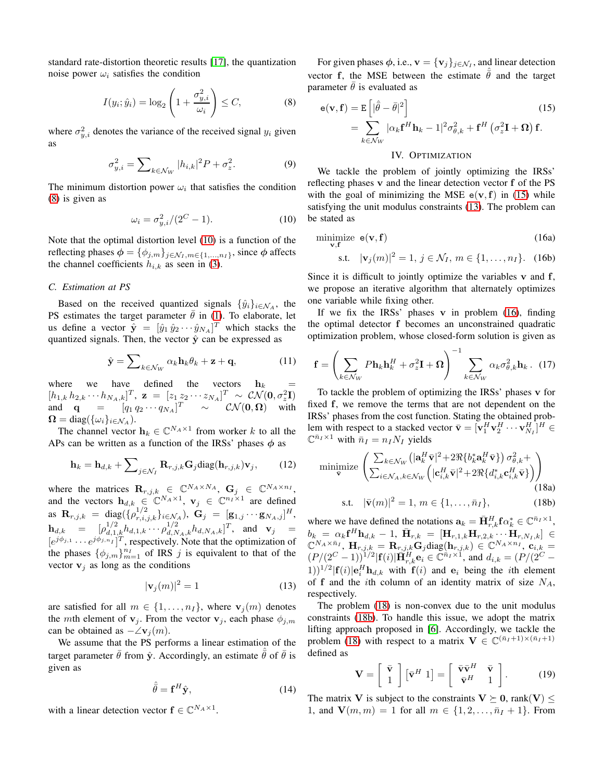standard rate-distortion theoretic results [\[17\]](#page-4-16), the quantization noise power  $\omega_i$  satisfies the condition

$$
I(y_i; \hat{y}_i) = \log_2\left(1 + \frac{\sigma_{y,i}^2}{\omega_i}\right) \le C,\tag{8}
$$

where  $\sigma_{y,i}^2$  denotes the variance of the received signal  $y_i$  given as

$$
\sigma_{y,i}^2 = \sum_{k \in \mathcal{N}_W} |h_{i,k}|^2 P + \sigma_z^2.
$$
 (9)

The minimum distortion power  $\omega_i$  that satisfies the condition [\(8\)](#page-2-0) is given as

$$
\omega_i = \sigma_{y,i}^2 / (2^C - 1). \tag{10}
$$

Note that the optimal distortion level [\(10\)](#page-2-1) is a function of the reflecting phases  $\phi = {\phi_{j,m}}_{j \in \mathcal{N}_I, m \in \{1,...,n_I\}}$ , since  $\phi$  affects the channel coefficients  $h_{i,k}$  as seen in [\(3\)](#page-1-1).

### *C. Estimation at PS*

Based on the received quantized signals  $\{\hat{y}_i\}_{i \in \mathcal{N}_A}$ , the PS estimates the target parameter  $\bar{\theta}$  in [\(1\)](#page-1-2). To elaborate, let us define a vector  $\hat{\mathbf{y}} = [\hat{y}_1 \hat{y}_2 \cdots \hat{y}_{N_A}]^T$  which stacks the quantized signals. Then, the vector  $\hat{y}$  can be expressed as

$$
\hat{\mathbf{y}} = \sum_{k \in \mathcal{N}_W} \alpha_k \mathbf{h}_k \theta_k + \mathbf{z} + \mathbf{q}, \tag{11}
$$

where we have defined the vectors  $h_k$  $[h_{1,k} h_{2,k} \cdots h_{N_A,k}]^T$ ,  $\mathbf{z} = [z_1 z_2 \cdots z_{N_A}]^T \sim \mathcal{CN}(\mathbf{0}, \sigma_z^2 \mathbf{I})$ and  $\mathbf{q} = [q_1 q_2 \cdots q_{N_A}]^T \sim \mathcal{CN}(\mathbf{0}, \mathbf{\Omega})$  with  $\Omega = \text{diag}(\{\omega_i\}_{i \in \mathcal{N}_A}).$ 

The channel vector  $\mathbf{h}_k \in \mathbb{C}^{N_A \times 1}$  from worker k to all the APs can be written as a function of the IRSs' phases  $\phi$  as

$$
\mathbf{h}_{k} = \mathbf{h}_{d,k} + \sum_{j \in \mathcal{N}_{I}} \mathbf{R}_{r,j,k} \mathbf{G}_{j} \text{diag}(\mathbf{h}_{r,j,k}) \mathbf{v}_{j}, \qquad (12)
$$

where the matrices  $\mathbf{R}_{r,j,k} \in \mathbb{C}^{N_A \times N_A}, \mathbf{G}_j \in \mathbb{C}^{N_A \times n_I},$ and the vectors  $\mathbf{h}_{d,k} \in \mathbb{C}^{N_A \times 1}$ ,  $\mathbf{v}_j \in \mathbb{C}^{n_I \times 1}$  are defined as  $\mathbf{R}_{r,j,k} = \text{diag}(\{\rho_{r,i,j,k}^{1/2}\}_{i \in \mathcal{N}_A}), \ \mathbf{G}_j = [\mathbf{g}_{1,j} \cdots \mathbf{g}_{N_A,j}]^H,$  ${\bf h}_{d,k}$  =  $[\rho_{d,1,k}^{1/2} h_{d,1,k} \cdots \rho_{d,N_A,k}^{1/2} h_{d,N_A,k}]^T$ , and  ${\bf v}_j$  =  $[e^{j\phi_{j,1}}\cdots e^{j\phi_{j,n}}]^{T}$ , respectively. Note that the optimization of the phases  $\{\phi_{j,m}\}_{m=1}^{n_I}$  of IRS j is equivalent to that of the vector  $v_i$  as long as the conditions

$$
|\mathbf{v}_j(m)|^2 = 1\tag{13}
$$

are satisfied for all  $m \in \{1, \ldots, n_I\}$ , where  $\mathbf{v}_j(m)$  denotes the mth element of  $v_j$ . From the vector  $v_j$ , each phase  $\phi_{j,m}$ can be obtained as  $-\angle \mathbf{v}_i(m)$ .

We assume that the PS performs a linear estimation of the target parameter  $\bar{\theta}$  from  $\hat{\mathbf{y}}$ . Accordingly, an estimate  $\bar{\theta}$  of  $\bar{\theta}$  is given as

$$
\hat{\bar{\theta}} = \mathbf{f}^H \hat{\mathbf{y}},\tag{14}
$$

with a linear detection vector  $f \in \mathbb{C}^{N_A \times 1}$ .

For given phases  $\phi$ , i.e.,  $\mathbf{v} = {\mathbf{v}_j}_{j \in \mathcal{N}_I}$ , and linear detection vector f, the MSE between the estimate  $\bar{\theta}$  and the target parameter  $\bar{\theta}$  is evaluated as

<span id="page-2-0"></span>
$$
\mathbf{e}(\mathbf{v}, \mathbf{f}) = \mathbf{E}\left[|\hat{\theta} - \bar{\theta}|^2\right]
$$
\n
$$
= \sum_{k \in \mathcal{N}_W} |\alpha_k \mathbf{f}^H \mathbf{h}_k - 1|^2 \sigma_{\theta, k}^2 + \mathbf{f}^H \left(\sigma_z^2 \mathbf{I} + \mathbf{\Omega}\right) \mathbf{f}.
$$
\n(15)

# <span id="page-2-8"></span><span id="page-2-2"></span>IV. OPTIMIZATION

We tackle the problem of jointly optimizing the IRSs' reflecting phases v and the linear detection vector f of the PS with the goal of minimizing the MSE  $e(v, f)$  in [\(15\)](#page-2-2) while satisfying the unit modulus constraints [\(13\)](#page-2-3). The problem can be stated as

<span id="page-2-1"></span>
$$
\underset{\mathbf{v}, \mathbf{f}}{\text{minimize}} \ \mathbf{e}(\mathbf{v}, \mathbf{f}) \tag{16a}
$$

<span id="page-2-4"></span>s.t. 
$$
|\mathbf{v}_j(m)|^2 = 1, j \in \mathcal{N}_I, m \in \{1, ..., n_I\}
$$
. (16b)

Since it is difficult to jointly optimize the variables  $v$  and  $f$ , we propose an iterative algorithm that alternately optimizes one variable while fixing other.

If we fix the IRSs' phases  $v$  in problem [\(16\)](#page-2-4), finding the optimal detector f becomes an unconstrained quadratic optimization problem, whose closed-form solution is given as

<span id="page-2-9"></span>
$$
\mathbf{f} = \left(\sum_{k \in \mathcal{N}_W} P \mathbf{h}_k \mathbf{h}_k^H + \sigma_z^2 \mathbf{I} + \mathbf{\Omega}\right)^{-1} \sum_{k \in \mathcal{N}_W} \alpha_k \sigma_{\theta,k}^2 \mathbf{h}_k. (17)
$$

To tackle the problem of optimizing the IRSs' phases v for fixed f, we remove the terms that are not dependent on the IRSs' phases from the cost function. Stating the obtained problem with respect to a stacked vector  $\bar{\mathbf{v}} = [\mathbf{v}_1^H \mathbf{v}_2^H \cdots \mathbf{v}_{N_I}^H]^H \in \tilde{\mathbb{R}}$  $\mathbb{C}^{\bar{n}_I \times 1}$  with  $\bar{n}_I = n_I N_I$  yields

$$
\underset{\nabla}{\text{minimize}} \left( \frac{\sum_{k \in \mathcal{N}_W} \left( |\mathbf{a}_k^H \bar{\mathbf{v}}|^2 + 2 \Re\{ b_k^* \mathbf{a}_k^H \bar{\mathbf{v}} \} \right) \sigma_{\theta,k}^2 +}{\sum_{i \in \mathcal{N}_A, k \in \mathcal{N}_W} \left( |\mathbf{c}_{i,k}^H \bar{\mathbf{v}}|^2 + 2 \Re\{ d_{i,k}^* \mathbf{c}_{i,k}^H \bar{\mathbf{v}} \} \right) \right)
$$
\n
$$
\text{s.t} \quad |\bar{\mathbf{v}}(m)|^2 = 1 \quad m \in \{1, \dots, \bar{n}_L\} \tag{18b}
$$

<span id="page-2-6"></span><span id="page-2-5"></span>s.t. 
$$
|\bar{\mathbf{v}}(m)|^2 = 1, m \in \{1, ..., \bar{n}_I\},
$$
 (18b)

where we have defined the notations  $\mathbf{a}_k = \bar{\mathbf{H}}_{r,k}^H \mathbf{f} \alpha_k^* \in \mathbb{C}^{\bar{n}_I \times 1}$ ,  $\begin{array}{l} b_k \ = \ \alpha_k{\bf f}^H{\bf h}_{d,k} - 1, \ \bar{\bf H}_{r,k} = \ [{\bf H}_{r,1,k}{\bf H}_{r,2,k} \cdots {\bf H}_{r,N_I,k}] \ \in \mathbb{C}^{N_A \times \bar{n}_I}, \ {\bf H}_{r,j,k} = {\bf R}_{r,j,k}{\bf G}_j{\rm diag}({\bf h}_{r,j,k}) \in \mathbb{C}^{N_A \times n_I}, \ {\bf c}_{i,k} = 0, \end{array}$  $(P/(2^C-1))^{1/2}|\mathbf{f}(i)|\tilde{\mathbf{H}}_{r,k}^H \mathbf{e}_i \in \tilde{\mathbb{C}}^{n_I \times 1}$ , and  $d_{i,k} = (P/(2^C-1))^{1/2}$  $(1))^{1/2}$   $|\mathbf{f}(i)| \mathbf{e}_i^H \mathbf{h}_{d,k}$  with  $\mathbf{f}(i)$  and  $\mathbf{e}_i$  being the *i*th element of f and the *i*th column of an identity matrix of size  $N_A$ , respectively.

<span id="page-2-3"></span>The problem [\(18\)](#page-2-5) is non-convex due to the unit modulus constraints [\(18b\)](#page-2-6). To handle this issue, we adopt the matrix lifting approach proposed in [\[6\]](#page-4-5). Accordingly, we tackle the problem [\(18\)](#page-2-5) with respect to a matrix  $\mathbf{V} \in \mathbb{C}^{(\bar{n}_I+1) \times (\bar{n}_I+1)}$ defined as

<span id="page-2-7"></span>
$$
\mathbf{V} = \left[ \begin{array}{c} \bar{\mathbf{v}} \\ 1 \end{array} \right] \left[ \bar{\mathbf{v}}^H \ 1 \right] = \left[ \begin{array}{cc} \bar{\mathbf{v}} \bar{\mathbf{v}}^H & \bar{\mathbf{v}} \\ \bar{\mathbf{v}}^H & 1 \end{array} \right]. \tag{19}
$$

The matrix V is subject to the constraints  $V \succeq 0$ , rank $(V) \leq$ 1, and  $V(m, m) = 1$  for all  $m \in \{1, 2, ..., \bar{n}_I + 1\}$ . From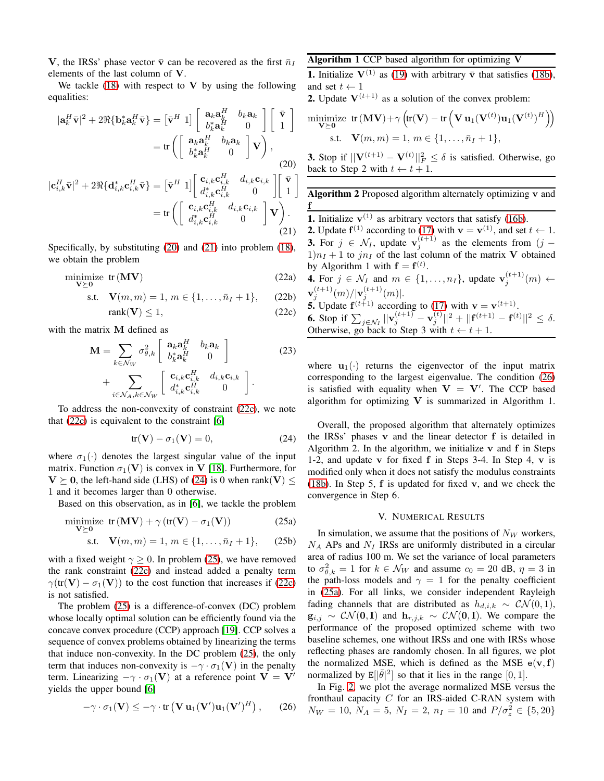V, the IRSs' phase vector  $\bar{v}$  can be recovered as the first  $\bar{n}_I$ elements of the last column of V.

We tackle  $(18)$  with respect to V by using the following equalities:

$$
|\mathbf{a}_{k}^{H}\bar{\mathbf{v}}|^{2} + 2\Re{\{\mathbf{b}_{k}^{*}\mathbf{a}_{k}^{H}\bar{\mathbf{v}}\}} = \begin{bmatrix} \bar{\mathbf{v}}^{H} & 1 \end{bmatrix} \begin{bmatrix} \mathbf{a}_{k}\mathbf{a}_{k}^{H} & b_{k}\mathbf{a}_{k} \\ b_{k}^{*}\mathbf{a}_{k}^{H} & 0 \end{bmatrix} \begin{bmatrix} \bar{\mathbf{v}} \\ 1 \end{bmatrix}
$$

$$
= \text{tr}\left(\begin{bmatrix} \mathbf{a}_{k}\mathbf{a}_{k}^{H} & b_{k}\mathbf{a}_{k} \\ b_{k}^{*}\mathbf{a}_{k}^{H} & 0 \end{bmatrix}\mathbf{V}\right),
$$
(20)
$$
|\mathbf{c}_{i,k}^{H}\bar{\mathbf{v}}|^{2} + 2\Re{\{\mathbf{d}_{i,k}^{*}\mathbf{c}_{i,k}^{H}\bar{\mathbf{v}}\}} = \begin{bmatrix} \bar{\mathbf{v}}^{H} & 1 \end{bmatrix} \begin{bmatrix} \mathbf{c}_{i,k}\mathbf{c}_{i,k}^{H} & d_{i,k}\mathbf{c}_{i,k} \\ d_{i,k}^{*}\mathbf{c}_{i,k}^{H} & 0 \end{bmatrix} \begin{bmatrix} \bar{\mathbf{v}} \\ 1 \end{bmatrix}
$$

$$
= \text{tr}\left(\begin{bmatrix} \mathbf{c}_{i,k}\mathbf{c}_{i,k}^{H} & d_{i,k}\mathbf{c}_{i,k} \\ d_{i,k}^{*}\mathbf{c}_{i,k}^{H} & 0 \end{bmatrix}\mathbf{V}\right).
$$
(21)

Specifically, by substituting [\(20\)](#page-3-0) and [\(21\)](#page-3-1) into problem [\(18\)](#page-2-5), we obtain the problem

$$
\underset{\mathbf{V}\succeq\mathbf{0}}{\text{minimize}} \ \text{tr}\left(\mathbf{M}\mathbf{V}\right) \tag{22a}
$$

s.t. 
$$
\mathbf{V}(m, m) = 1, m \in \{1, ..., \bar{n}_I + 1\},
$$
 (22b)

$$
rank(\mathbf{V}) \le 1,\tag{22c}
$$

with the matrix M defined as

$$
\mathbf{M} = \sum_{k \in \mathcal{N}_W} \sigma_{\theta,k}^2 \begin{bmatrix} \mathbf{a}_k \mathbf{a}_k^H & b_k \mathbf{a}_k \\ b_k^* \mathbf{a}_k^H & 0 \end{bmatrix}
$$
\n
$$
+ \sum_{i \in \mathcal{N}_A, k \in \mathcal{N}_W} \begin{bmatrix} \mathbf{c}_{i,k} \mathbf{c}_{i,k}^H & d_{i,k} \mathbf{c}_{i,k} \\ d_{i,k}^* \mathbf{c}_{i,k}^H & 0 \end{bmatrix}.
$$
\n(23)

To address the non-convexity of constraint [\(22c\)](#page-3-2), we note that [\(22c\)](#page-3-2) is equivalent to the constraint [\[6\]](#page-4-5)

$$
tr(\mathbf{V}) - \sigma_1(\mathbf{V}) = 0, \tag{24}
$$

where  $\sigma_1(\cdot)$  denotes the largest singular value of the input matrix. Function  $\sigma_1(\mathbf{V})$  is convex in V [\[18\]](#page-4-17). Furthermore, for  $V \succeq 0$ , the left-hand side (LHS) of [\(24\)](#page-3-3) is 0 when rank(V)  $\leq$ 1 and it becomes larger than 0 otherwise.

Based on this observation, as in [\[6\]](#page-4-5), we tackle the problem

$$
\underset{\mathbf{V}\succeq\mathbf{0}}{\text{minimize}} \text{ tr}\left(\mathbf{MV}\right) + \gamma\left(\text{tr}(\mathbf{V}) - \sigma_1(\mathbf{V})\right) \tag{25a}
$$

s.t. 
$$
\mathbf{V}(m,m) = 1, m \in \{1, ..., \bar{n}_I + 1\},
$$
 (25b)

with a fixed weight  $\gamma \geq 0$ . In problem [\(25\)](#page-3-4), we have removed the rank constraint [\(22c\)](#page-3-2) and instead added a penalty term  $\gamma(\text{tr}(\mathbf{V}) - \sigma_1(\mathbf{V}))$  to the cost function that increases if [\(22c\)](#page-3-2) is not satisfied.

The problem [\(25\)](#page-3-4) is a difference-of-convex (DC) problem whose locally optimal solution can be efficiently found via the concave convex procedure (CCP) approach [\[19\]](#page-4-18). CCP solves a sequence of convex problems obtained by linearizing the terms that induce non-convexity. In the DC problem [\(25\)](#page-3-4), the only term that induces non-convexity is  $-\gamma \cdot \sigma_1(\mathbf{V})$  in the penalty term. Linearizing  $-\gamma \cdot \sigma_1(\mathbf{V})$  at a reference point  $\mathbf{V} = \mathbf{V}'$ yields the upper bound [\[6\]](#page-4-5)

$$
-\gamma \cdot \sigma_1(\mathbf{V}) \leq -\gamma \cdot \text{tr}\left(\mathbf{V} \mathbf{u}_1(\mathbf{V}') \mathbf{u}_1(\mathbf{V}')^H\right), \qquad (26)
$$

# Algorithm 1 CCP based algorithm for optimizing V

**1.** Initialize  $V^{(1)}$  as [\(19\)](#page-2-7) with arbitrary  $\bar{v}$  that satisfies [\(18b\)](#page-2-6), and set  $t \leftarrow 1$ 

**2.** Update  $V^{(t+1)}$  as a solution of the convex problem:

$$
\begin{aligned}\n\text{minimize } & \text{tr} \left( \mathbf{MV} \right) + \gamma \left( \text{tr}(\mathbf{V}) - \text{tr} \left( \mathbf{V} \, \mathbf{u}_1(\mathbf{V}^{(t)}) \mathbf{u}_1(\mathbf{V}^{(t)})^H \right) \right) \\
\text{s.t. } & \mathbf{V}(m, m) = 1, \, m \in \{1, \dots, \bar{n}_I + 1\},\n\end{aligned}
$$

<span id="page-3-0"></span>**3.** Stop if  $||\mathbf{V}^{(t+1)} - \mathbf{V}^{(t)}||_F^2 \le \delta$  is satisfied. Otherwise, go back to Step 2 with  $t \leftarrow t + 1$ .

Algorithm 2 Proposed algorithm alternately optimizing v and f

**1.** Initialize  $v^{(1)}$  as arbitrary vectors that satisfy [\(16b\)](#page-2-8).

<span id="page-3-1"></span>**2.** Update  $f^{(1)}$  according to [\(17\)](#page-2-9) with  $v = v^{(1)}$ , and set  $t \leftarrow 1$ . **3.** For  $j \in \mathcal{N}_I$ , update  $\mathbf{v}_j^{(t+1)}$  $j^{(l+1)}$  as the elements from  $(j 1$ ) $n_I + 1$  to  $jn_I$  of the last column of the matrix V obtained by Algorithm 1 with  $f = f^{(t)}$ .

<span id="page-3-2"></span>**4.** For  $j \in \mathcal{N}_I$  and  $m \in \{1, \ldots, n_I\}$ , update  $\mathbf{v}_j^{(t+1)}(m)$   $\leftarrow$ j  ${\mathbf v}^{(t+1)}_i$  $j^{(t+1)}(m)/|\mathbf{v}^{(t+1)}_j|$  $\binom{(t+1)}{j}$  (m)|. **5.** Update  $f^{(t+1)}$  according to [\(17\)](#page-2-9) with  $v = v^{(t+1)}$ . **6.** Stop if  $\sum_{j \in \mathcal{N}_I} ||\mathbf{v}_j^{(t+1)} - \mathbf{v}_j^{(t)}$  $\int_{j}^{(t)}||^{2} + ||\mathbf{f}^{(t+1)} - \mathbf{f}^{(t)}||^{2} \leq \delta.$ Otherwise, go back to Step 3 with  $t \leftarrow t + 1$ .

where  $\mathbf{u}_1(\cdot)$  returns the eigenvector of the input matrix corresponding to the largest eigenvalue. The condition [\(26\)](#page-3-5) is satisfied with equality when  $V = V'$ . The CCP based algorithm for optimizing  $V$  is summarized in Algorithm 1.

<span id="page-3-3"></span>Overall, the proposed algorithm that alternately optimizes the IRSs' phases v and the linear detector f is detailed in Algorithm 2. In the algorithm, we initialize  $v$  and  $f$  in Steps 1-2, and update v for fixed f in Steps 3-4. In Step 4, v is modified only when it does not satisfy the modulus constraints [\(18b\)](#page-2-6). In Step 5, f is updated for fixed v, and we check the convergence in Step 6.

#### V. NUMERICAL RESULTS

<span id="page-3-6"></span><span id="page-3-4"></span>In simulation, we assume that the positions of  $N_W$  workers,  $N_A$  APs and  $N_I$  IRSs are uniformly distributed in a circular area of radius 100 m. We set the variance of local parameters to  $\sigma_{\theta,k}^2 = 1$  for  $k \in \mathcal{N}_W$  and assume  $c_0 = 20$  dB,  $\eta = 3$  in the path-loss models and  $\gamma = 1$  for the penalty coefficient in [\(25a\)](#page-3-6). For all links, we consider independent Rayleigh fading channels that are distributed as  $h_{d,i,k} \sim \mathcal{CN}(0, 1)$ ,  $\mathbf{g}_{i,j} \sim \mathcal{CN}(\mathbf{0}, \mathbf{I})$  and  $\mathbf{h}_{r,j,k} \sim \mathcal{CN}(\mathbf{0}, \mathbf{I})$ . We compare the performance of the proposed optimized scheme with two baseline schemes, one without IRSs and one with IRSs whose reflecting phases are randomly chosen. In all figures, we plot the normalized MSE, which is defined as the MSE  $e(\mathbf{v}, \mathbf{f})$ normalized by  $\mathbb{E}[|\bar{\theta}|^2]$  so that it lies in the range  $[0, 1]$ .

<span id="page-3-5"></span>In Fig. [2,](#page-4-19) we plot the average normalized MSE versus the fronthaul capacity  $C$  for an IRS-aided C-RAN system with  $N_W = 10$ ,  $N_A = 5$ ,  $N_I = 2$ ,  $n_I = 10$  and  $P/\sigma_z^2 \in \{5, 20\}$